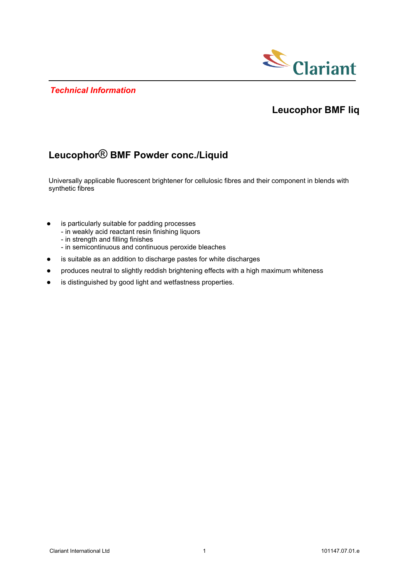*Technical Information*



## **Leucophor BMF liq**

# **Leucophor**® **BMF Powder conc./Liquid**

Universally applicable fluorescent brightener for cellulosic fibres and their component in blends with synthetic fibres

- is particularly suitable for padding processes
	- in weakly acid reactant resin finishing liquors
	- in strength and filling finishes
	- in semicontinuous and continuous peroxide bleaches
- is suitable as an addition to discharge pastes for white discharges
- produces neutral to slightly reddish brightening effects with a high maximum whiteness
- is distinguished by good light and wetfastness properties.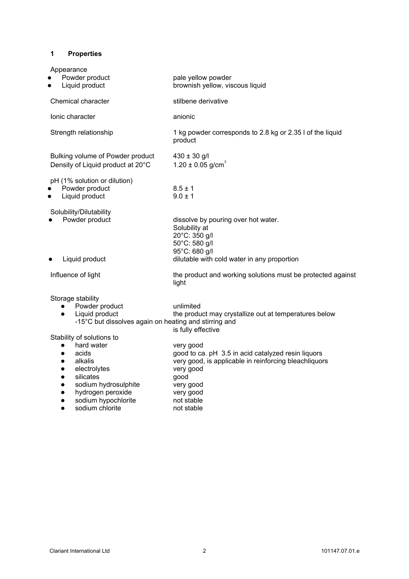## **1 Properties**

| Appearance<br>Powder product<br>Liquid product                                                                                                                                                                                                                                                       | pale yellow powder<br>brownish yellow, viscous liquid                                                                                                                                                                     |
|------------------------------------------------------------------------------------------------------------------------------------------------------------------------------------------------------------------------------------------------------------------------------------------------------|---------------------------------------------------------------------------------------------------------------------------------------------------------------------------------------------------------------------------|
| Chemical character                                                                                                                                                                                                                                                                                   | stilbene derivative                                                                                                                                                                                                       |
| lonic character                                                                                                                                                                                                                                                                                      | anionic                                                                                                                                                                                                                   |
| Strength relationship                                                                                                                                                                                                                                                                                | 1 kg powder corresponds to 2.8 kg or 2.35 l of the liquid<br>product                                                                                                                                                      |
| Bulking volume of Powder product<br>Density of Liquid product at 20°C                                                                                                                                                                                                                                | $430 \pm 30$ g/l<br>$1.20 \pm 0.05$ g/cm <sup>3</sup>                                                                                                                                                                     |
| pH (1% solution or dilution)<br>Powder product<br>Liquid product                                                                                                                                                                                                                                     | $8.5 \pm 1$<br>$9.0 \pm 1$                                                                                                                                                                                                |
| Solubility/Dilutability<br>Powder product<br>Liquid product                                                                                                                                                                                                                                          | dissolve by pouring over hot water.<br>Solubility at<br>20°C: 350 g/l<br>50°C: 580 g/l<br>95°C: 680 g/l<br>dilutable with cold water in any proportion                                                                    |
| Influence of light                                                                                                                                                                                                                                                                                   | the product and working solutions must be protected against<br>light                                                                                                                                                      |
| Storage stability<br>Powder product<br>$\bullet$<br>Liquid product<br>$\bullet$<br>-15°C but dissolves again on heating and stirring and                                                                                                                                                             | unlimited<br>the product may crystallize out at temperatures below                                                                                                                                                        |
| Stability of solutions to<br>hard water<br>$\bullet$<br>acids<br>$\bullet$<br>alkalis<br>$\bullet$<br>electrolytes<br>$\bullet$<br>silicates<br>$\bullet$<br>sodium hydrosulphite<br>$\bullet$<br>hydrogen peroxide<br>$\bullet$<br>sodium hypochlorite<br>$\bullet$<br>sodium chlorite<br>$\bullet$ | is fully effective<br>very good<br>good to ca. pH 3.5 in acid catalyzed resin liquors<br>very good, is applicable in reinforcing bleachliquors<br>very good<br>good<br>very good<br>very good<br>not stable<br>not stable |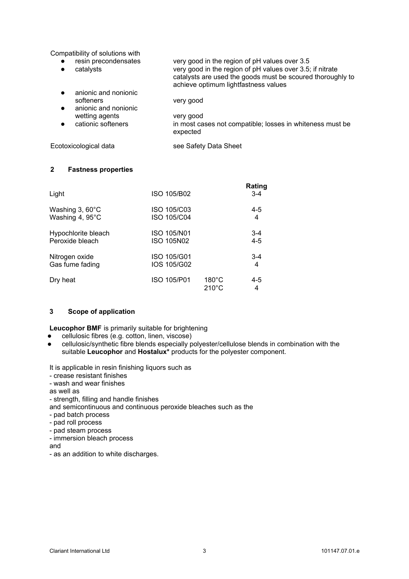Compatibility of solutions with

| resin precondensates<br>catalysts                         | very good in the region of pH values over 3.5<br>very good in the region of pH values over 3.5; if nitrate<br>catalysts are used the goods must be scoured thoroughly to<br>achieve optimum lightfastness values |
|-----------------------------------------------------------|------------------------------------------------------------------------------------------------------------------------------------------------------------------------------------------------------------------|
| anionic and nonionic<br>softeners<br>anionic and nonionic | very good                                                                                                                                                                                                        |
| wetting agents<br>cationic softeners                      | very good<br>in most cases not compatible; losses in whiteness must be<br>expected                                                                                                                               |

## Ecotoxicological data see Safety Data Sheet

### **2 Fastness properties**

| Light                    | ISO 105/B02        |                                    | Rating<br>$3 - 4$ |
|--------------------------|--------------------|------------------------------------|-------------------|
| Washing $3,60^{\circ}$ C | ISO 105/C03        |                                    | $4 - 5$           |
| Washing 4, 95°C          | ISO 105/C04        |                                    | 4                 |
| Hypochlorite bleach      | <b>ISO 105/N01</b> |                                    | $3 - 4$           |
| Peroxide bleach          | <b>ISO 105N02</b>  |                                    | $4 - 5$           |
| Nitrogen oxide           | ISO 105/G01        |                                    | $3 - 4$           |
| Gas fume fading          | IOS 105/G02        |                                    | 4                 |
| Dry heat                 | ISO 105/P01        | $180^{\circ}$ C<br>$210^{\circ}$ C | 4-5<br>4          |

## **3 Scope of application**

**Leucophor BMF** is primarily suitable for brightening

- cellulosic fibres (e.g. cotton, linen, viscose)
- cellulosic/synthetic fibre blends especially polyester/cellulose blends in combination with the suitable **Leucophor** and **Hostalux\*** products for the polyester component.

It is applicable in resin finishing liquors such as

- crease resistant finishes
- wash and wear finishes
- as well as
- strength, filling and handle finishes
- and semicontinuous and continuous peroxide bleaches such as the
- pad batch process
- pad roll process
- pad steam process
- immersion bleach process

and

- as an addition to white discharges.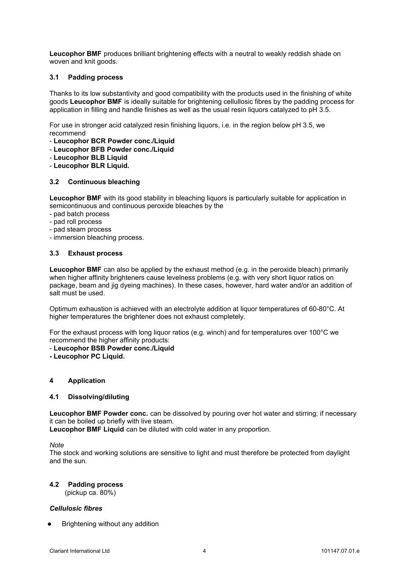**Leucophor BMF** produces brilliant brightening effects with a neutral to weakly reddish shade on woven and knit goods.

### **3.1 Padding process**

Thanks to its low substantivity and good compatibility with the products used in the finishing of white goods **Leucophor BMF** is ideally suitable for brightening cellullosic fibres by the padding process for application in filling and handle finishes as well as the usual resin liquors catalyzed to pH 3.5.

For use in stronger acid catalyzed resin finishing liquors, i.e. in the region below pH 3.5, we recommend

- **Leucophor BCR Powder conc./Liquid**
- **Leucophor BFB Powder conc./Liquid**
- **Leucophor BLB Liquid**
- **Leucophor BLR Liquid.**

### **3.2 Continuous bleaching**

**Leucophor BMF** with its good stability in bleaching liquors is particularly suitable for application in semicontinuous and continuous peroxide bleaches by the

- pad batch process
- pad roll process
- pad steam process
- immersion bleaching process.

#### **3.3 Exhaust process**

**Leucophor BMF** can also be applied by the exhaust method (e.g. in the peroxide bleach) primarily when higher affinity brighteners cause levelness problems (e.g. with very short liquor ratios on package, beam and jig dyeing machines). In these cases, however, hard water and/or an addition of salt must be used.

Optimum exhaustion is achieved with an electrolyte addition at liquor temperatures of 60-80°C. At higher temperatures the brightener does not exhaust completely.

For the exhaust process with long liquor ratios (e.g. winch) and for temperatures over 100°C we recommend the higher affinity products:

- **Leucophor BSB Powder conc./Liquid**
- **Leucophor PC Liquid.**

#### **4 Application**

#### **4.1 Dissolving/diluting**

**Leucophor BMF Powder conc.** can be dissolved by pouring over hot water and stirring; if necessary it can be boiled up briefly with live steam.

**Leucophor BMF Liquid** can be diluted with cold water in any proportion.

*Note*

The stock and working solutions are sensitive to light and must therefore be protected from daylight and the sun.

#### **4.2 Padding process**

(pickup ca. 80%)

## *Cellulosic fibres*

Brightening without any addition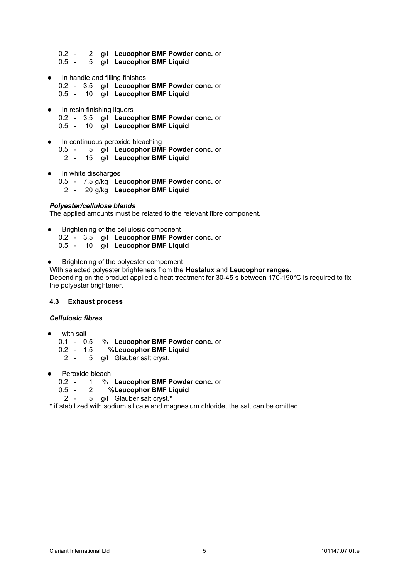- 0.2 2 g/l **Leucophor BMF Powder conc.** or
- 0.5 5 g/l **Leucophor BMF Liquid**
- In handle and filling finishes 0.2 - 3.5 g/l **Leucophor BMF Powder conc.** or 0.5 - 10 g/l **Leucophor BMF Liquid**
- In resin finishing liquors 0.2 - 3.5 g/l **Leucophor BMF Powder conc.** or 0.5 - 10 g/l **Leucophor BMF Liquid**
- In continuous peroxide bleaching 0.5 - 5 g/l **Leucophor BMF Powder conc.** or 2 - 15 g/l **Leucophor BMF Liquid**
- In white discharges
	- 0.5 7.5 g/kg **Leucophor BMF Powder conc.** or
		- 2 20 g/kg **Leucophor BMF Liquid**

### *Polyester/cellulose blends*

The applied amounts must be related to the relevant fibre component.

- Brightening of the cellulosic component
	- 0.2 3.5 g/l **Leucophor BMF Powder conc.** or
	- 0.5 10 g/l **Leucophor BMF Liquid**
- Brightening of the polyester compoment

With selected polyester brighteners from the **Hostalux** and **Leucophor ranges.** Depending on the product applied a heat treatment for 30-45 s between 170-190°C is required to fix the polyester brightener.

## **4.3 Exhaust process**

#### *Cellulosic fibres*

- with salt
	- 0.1 0.5 % **Leucophor BMF Powder conc.** or
	- 0.2 1.5 **%Leucophor BMF Liquid**
	- 2 5 g/l Glauber salt cryst.
- Peroxide bleach
	- 0.2 1 % **Leucophor BMF Powder conc.** or
	- 0.5 2 **%Leucophor BMF Liquid**
	- 2 5 g/l Glauber salt cryst.\*

\* if stabilized with sodium silicate and magnesium chloride, the salt can be omitted.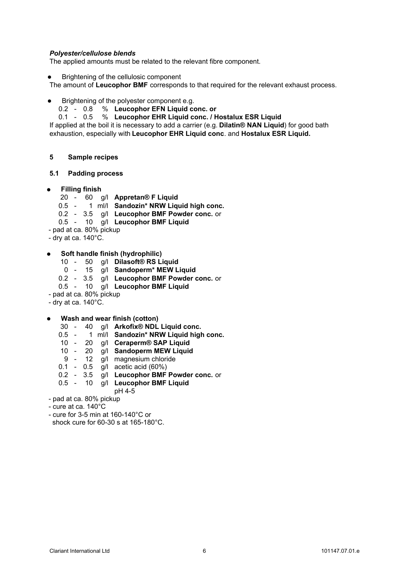## *Polyester/cellulose blends*

The applied amounts must be related to the relevant fibre component.

Brightening of the cellulosic component

The amount of **Leucophor BMF** corresponds to that required for the relevant exhaust process.

- Brightening of the polyester component e.g.
	- 0.2 0.8 % **Leucophor EFN Liquid conc. or**
	- 0.1 0.5 % **Leucophor EHR Liquid conc. / Hostalux ESR Liquid**

If applied at the boil it is necessary to add a carrier (e.g. **Dilatin® NAN Liquid**) for good bath exhaustion, especially with **Leucophor EHR Liquid conc**. and **Hostalux ESR Liquid.**

#### **5 Sample recipes**

#### **5.1 Padding process**

- **Filling finish**
	- 20 60 g/l **Appretan® F Liquid**
	- 0.5 1 ml/l **Sandozin\* NRW Liquid high conc.**
	- 0.2 3.5 g/l **Leucophor BMF Powder conc.** or
	- 0.5 10 g/l **Leucophor BMF Liquid**
- pad at ca. 80% pickup
- dry at ca.  $140^{\circ}$ C.
- **Soft handle finish (hydrophilic)**
	- 10 50 g/l **Dilasoft® RS Liquid**
	- 0 15 g/l **Sandoperm\* MEW Liquid**
	- 0.2 3.5 g/l **Leucophor BMF Powder conc.** or
	- 0.5 10 g/l **Leucophor BMF Liquid**
- pad at ca. 80% pickup
- dry at ca. 140°C.
- **Wash and wear finish (cotton)**
	- 30 40 g/l **Arkofix® NDL Liquid conc.**
	- 0.5 1 ml/l **Sandozin\* NRW Liquid high conc.**
	- 10 20 g/l **Ceraperm® SAP Liquid**
	- 10 20 g/l **Sandoperm MEW Liquid**
	- 9 12 g/l magnesium chloride
	- 0.1 0.5 g/l acetic acid (60%)
	- 0.2 3.5 g/l **Leucophor BMF Powder conc.** or
	- 0.5 10 g/l **Leucophor BMF Liquid**
	- pH 4-5
- pad at ca. 80% pickup
- cure at ca. 140°C
- cure for 3-5 min at 160-140°C or shock cure for 60-30 s at 165-180°C.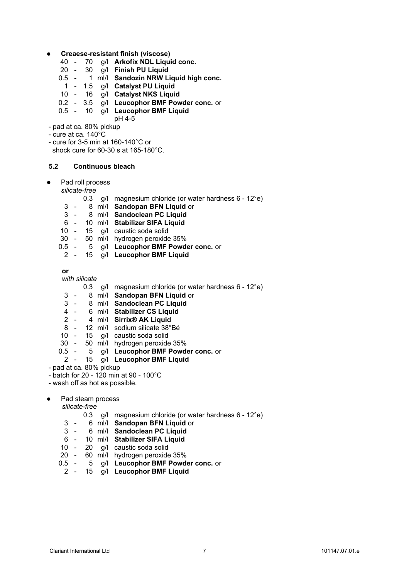- **Creaese-resistant finish (viscose)**
	- 40 70 g/l **Arkofix NDL Liquid conc.**
	- 20 30 g/l **Finish PU Liquid**
	- 0.5 1 ml/l **Sandozin NRW Liquid high conc.**
		- 1 1.5 g/l **Catalyst PU Liquid**
	- 10 16 g/l **Catalyst NKS Liquid**
	- 0.2 3.5 g/l **Leucophor BMF Powder conc.** or
	- 0.5 10 g/l **Leucophor BMF Liquid**
- pH 4-5 - pad at ca. 80% pickup
- cure at ca. 140°C
- 
- cure for 3-5 min at 160-140°C or shock cure for 60-30 s at 165-180°C.

### **5.2 Continuous bleach**

Pad roll process

*silicate-free*

- 0.3 g/l magnesium chloride (or water hardness 6 12°e)
- 3 8 ml/l **Sandopan BFN Liquid** or
- 3 8 ml/l **Sandoclean PC Liquid**
- 6 10 ml/l **Stabilizer SIFA Liquid**
- 10 15 g/l caustic soda solid
- 30 50 ml/l hydrogen peroxide 35%
- 0.5 5 g/l **Leucophor BMF Powder conc.** or
	- 2 15 g/l **Leucophor BMF Liquid**

**or**

*with silicate*

- 0.3 g/l magnesium chloride (or water hardness 6 12°e)
- 3 8 ml/l **Sandopan BFN Liquid** or
- 3 8 ml/l **Sandoclean PC Liquid**
- 4 6 ml/l **Stabilizer CS Liquid**
- 2 4 ml/l **Sirrix® AK Liquid**
- 8 12 ml/l sodium silicate 38°Bé
- 10 15 g/l caustic soda solid
- 30 50 ml/l hydrogen peroxide 35%
- 0.5 5 g/l **Leucophor BMF Powder conc.** or

# 2 - 15 g/l **Leucophor BMF Liquid**

- pad at ca. 80% pickup
- batch for 20 120 min at 90 100°C
- wash off as hot as possible.
- Pad steam process

*silicate-free*

- 0.3 g/l magnesium chloride (or water hardness 6 12°e)
- 3 6 ml/l **Sandopan BFN Liquid** or
- 3 6 ml/l **Sandoclean PC Liquid**
- 6 10 ml/l **Stabilizer SIFA Liquid**
- 20 a/l caustic soda solid
- 20 60 ml/l hydrogen peroxide 35%
- 0.5 5 g/l **Leucophor BMF Powder conc.** or
	- 2 15 g/l **Leucophor BMF Liquid**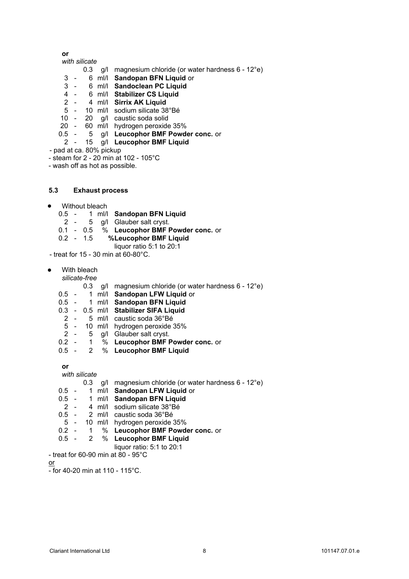**or**

## *with silicate*

- 0.3 g/l magnesium chloride (or water hardness 6 12°e)
- 3 6 ml/l **Sandopan BFN Liquid** or
- 3 6 ml/l **Sandoclean PC Liquid**
- 4 6 ml/l **Stabilizer CS Liquid**
- 2 4 ml/l **Sirrix AK Liquid**
- 5 10 ml/l sodium silicate 38°Bé
- 10 20 g/l caustic soda solid
- 20 60 ml/l hydrogen peroxide 35%
- 0.5 5 g/l **Leucophor BMF Powder conc.** or
	- 2 15 g/l **Leucophor BMF Liquid**
- pad at ca. 80% pickup
- steam for 2 20 min at 102 105°C
- wash off as hot as possible.

#### **5.3 Exhaust process**

- Without bleach
	- 0.5 1 ml/l **Sandopan BFN Liquid**
	- 2 5 g/l Glauber salt cryst.
	- 0.1 0.5 % **Leucophor BMF Powder conc.** or
	- 0.2 1.5 **%Leucophor BMF Liquid** 
		- liquor ratio 5:1 to 20:1

- treat for 15 - 30 min at 60-80°C.

- With bleach
	- *silicate-free*
		- 0.3 g/l magnesium chloride (or water hardness 6 12°e)
	- 0.5 1 ml/l **Sandopan LFW Liquid** or
	- 0.5 1 ml/l **Sandopan BFN Liquid**
	- 0.3 0.5 ml/l **Stabilizer SIFA Liquid**
	- 2 5 ml/l caustic soda 36°Bé
	- 5 10 ml/l hydrogen peroxide 35%
	- 2 5 g/l Glauber salt cryst.<br>0.2 1 % Leuconhor BMF F
	- 0.2 1 % **Leucophor BMF Powder conc.** or
	- 0.5 2 % **Leucophor BMF Liquid**

**or**

*with silicate*

- 0.3 g/l magnesium chloride (or water hardness 6 12°e)
- 0.5 1 ml/l **Sandopan LFW Liquid** or
- 0.5 1 ml/l **Sandopan BFN Liquid**
- 2 4 ml/l sodium silicate 38°Bé
- 0.5 2 ml/l caustic soda 36°Bé
- 5 10 ml/l hydrogen peroxide 35%
- 0.2 1 % **Leucophor BMF Powder conc.** or
- 0.5 2 % **Leucophor BMF Liquid**
	- liquor ratio: 5:1 to 20:1
- treat for 60-90 min at 80 95°C

or

 $-$  for 40-20 min at 110 - 115°C.